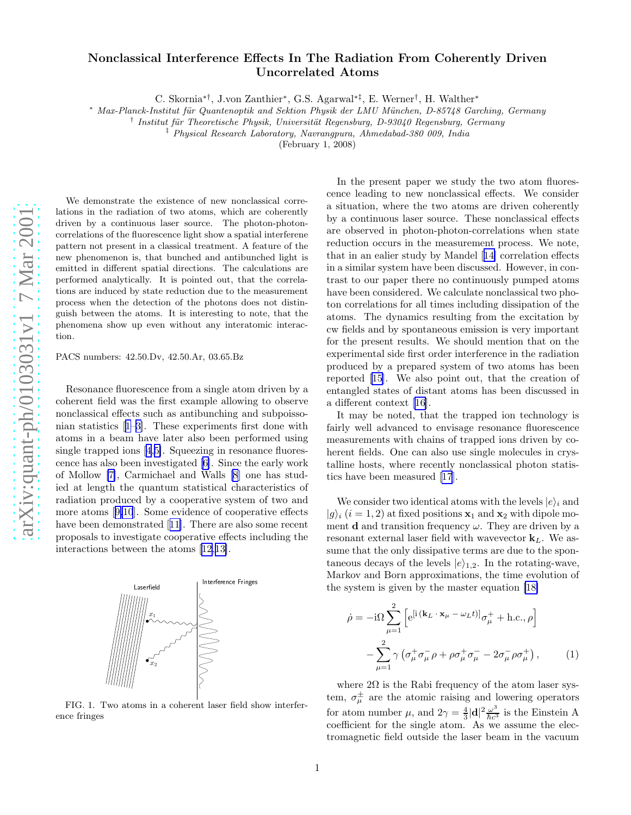## Nonclassical Interference Effects In The Radiation From Coherently Driven Uncorrelated Atoms

C. Skornia<sup>\*†</sup>, J.von Zanthier<sup>\*</sup>, G.S. Agarwal<sup>\*‡</sup>, E. Werner<sup>†</sup>, H. Walther<sup>\*</sup>

<sup>∗</sup> Max-Planck-Institut f¨ur Quantenoptik and Sektion Physik der LMU M¨unchen, D-85748 Garching, Germany

<sup>†</sup> Institut für Theoretische Physik, Universität Regensburg, D-93040 Regensburg, Germany

‡ Physical Research Laboratory, Navrangpura, Ahmedabad-380 009, India

(February 1, 2008)

We demonstrate the existence of new nonclassical correlations in the radiation of two atoms, which are coherently driven by a continuous laser source. The photon-photoncorrelations of the fluorescence light show a spatial interferene pattern not present in a classical treatment. A feature of th e new phenomenon is, that bunched and antibunched light is emitted in different spatial directions. The calculations are performed analytically. It is pointed out, that the correla tions are induced by state reduction due to the measurement process when the detection of the photons does not distinguish between the atoms. It is interesting to note, that the phenomena show up even without any interatomic interaction.

PACS numbers: 42.50.Dv, 42.50.Ar, 03.65.Bz

Resonance fluorescence from a single atom driven by a coherent field was the first example allowing to observe nonclassical effects such as antibunching and subpoissonian statistics[[1–3\]](#page-4-0). These experiments first done with atoms in a beam have later also been performed using singletrapped ions [[4](#page-4-0),[5\]](#page-4-0). Squeezing in resonance fluorescence has also been investigated [\[6](#page-4-0)]. Since the early work of Mollow [\[7\]](#page-4-0), Carmichael and Walls [\[8](#page-4-0)] one has studied at length the quantum statistical characteristics of radiation produced by a cooperative system of two and more atoms[[9,10](#page-4-0)]. Some evidence of cooperative effects have been demonstrated[[11\]](#page-4-0). There are also some recent proposals to investigate cooperative effects including the interactions between the atoms[[12,13\]](#page-4-0).



FIG. 1. Two atoms in a coherent laser field show interference fringes

In the present paper we study the two atom fluorescence leading to new nonclassical effects. We consider a situation, where the two atoms are driven coherently by a continuous laser source. These nonclassical effects are observed in photon-photon-correlations when state reduction occurs in the measurement process. We note, that in an ealier study by Mandel[[14\]](#page-4-0) correlation effects in a similar system have been discussed. However, in contrast to our paper there no continuously pumped atoms have been considered. We calculate nonclassical two photon correlations for all times including dissipation of the atoms. The dynamics resulting from the excitation by cw fields and by spontaneous emission is very important for the present results. We should mention that on the experimental side first order interference in the radiation produced by a prepared system of two atoms has been reported [\[15](#page-4-0)]. We also point out, that the creation of entangled states of distant atoms has been discussed in a different context[[16\]](#page-4-0).

It may be noted, that the trapped ion technology is fairly well advanced to envisage resonance fluorescence measurements with chains of trapped ions driven by coherent fields. One can also use single molecules in crystalline hosts, where recently nonclassical photon statistics have been measured [\[17](#page-4-0)].

We consider two identical atoms with the levels  $|e\rangle_i$  and  $|g\rangle_i$  (i = 1, 2) at fixed positions  $x_1$  and  $x_2$  with dipole moment **d** and transition frequency  $\omega$ . They are driven by a resonant external laser field with wavevector  $\mathbf{k}_L$ . We assume that the only dissipative terms are due to the spontaneous decays of the levels  $|e\rangle_{1,2}$ . In the rotating-wave, Markov and Born approximations, the time evolution of the system is given by the master equation [\[18\]](#page-4-0)

$$
\dot{\rho} = -i\Omega \sum_{\mu=1}^{2} \left[ e^{[i(\mathbf{k}_{L} \cdot \mathbf{x}_{\mu} - \omega_{L}t)]} \sigma_{\mu}^{+} + \text{h.c.}, \rho \right]
$$

$$
- \sum_{\mu=1}^{2} \gamma \left( \sigma_{\mu}^{+} \sigma_{\mu}^{-} \rho + \rho \sigma_{\mu}^{+} \sigma_{\mu}^{-} - 2 \sigma_{\mu}^{-} \rho \sigma_{\mu}^{+} \right), \qquad (1)
$$

where  $2\Omega$  is the Rabi frequency of the atom laser system,  $\sigma_{\mu}^{\pm}$  are the atomic raising and lowering operators for atom number  $\mu$ , and  $2\gamma = \frac{4}{3}|\mathbf{d}|^2 \frac{\omega^3}{\hbar c^3}$  $\frac{\omega^2}{\hbar c^3}$  is the Einstein A coefficient for the single atom. As we assume the electromagnetic field outside the laser beam in the vacuum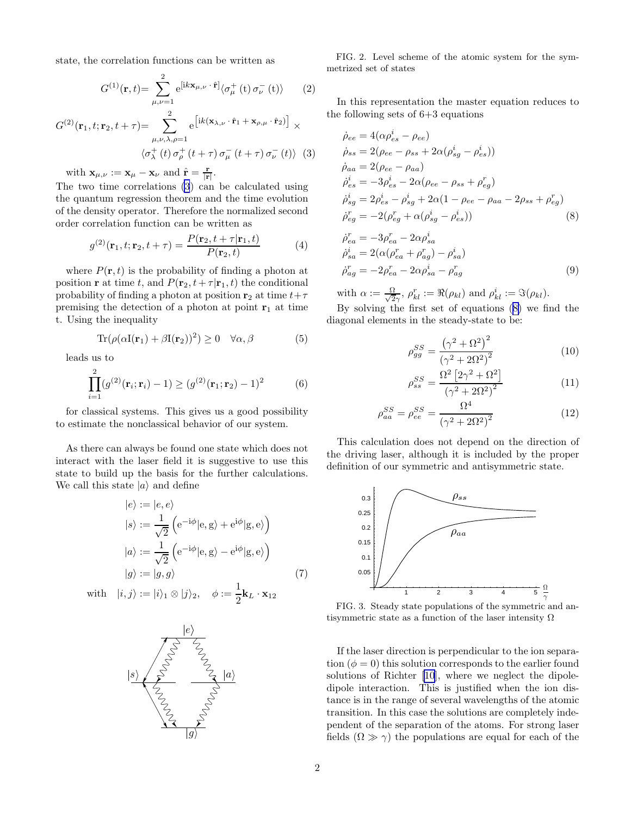<span id="page-1-0"></span>state, the correlation functions can be written as

$$
G^{(1)}(\mathbf{r},t)=\sum_{\mu,\nu=1}^{2}e^{[ik\mathbf{x}_{\mu,\nu}\cdot\hat{\mathbf{r}}]}\langle\sigma_{\mu}^{+}(t)\,\sigma_{\nu}^{-}(t)\rangle\qquad(2)
$$

$$
G^{(2)}(\mathbf{r}_1, t; \mathbf{r}_2, t + \tau) = \sum_{\mu, \nu, \lambda, \rho=1}^{2} e^{\left[ik(\mathbf{x}_{\lambda, \nu} \cdot \hat{\mathbf{r}}_1 + \mathbf{x}_{\rho, \mu} \cdot \hat{\mathbf{r}}_2)\right]} \times
$$
  

$$
\langle \sigma_{\lambda}^{+}(t) \sigma_{\rho}^{+}(t + \tau) \sigma_{\mu}^{-}(t + \tau) \sigma_{\nu}^{-}(t) \rangle
$$
 (3)

with  $\mathbf{x}_{\mu,\nu} := \mathbf{x}_{\mu} - \mathbf{x}_{\nu}$  and  $\hat{\mathbf{r}} = \frac{\mathbf{r}}{|\mathbf{r}|}.$ 

The two time correlations (3) can be calculated using the quantum regression theorem and the time evolution of the density operator. Therefore the normalized second order correlation function can be written as

$$
g^{(2)}(\mathbf{r}_1, t; \mathbf{r}_2, t + \tau) = \frac{P(\mathbf{r}_2, t + \tau | \mathbf{r}_1, t)}{P(\mathbf{r}_2, t)}
$$
(4)

where  $P(\mathbf{r}, t)$  is the probability of finding a photon at position **r** at time t, and  $P(\mathbf{r}_2, t + \tau | \mathbf{r}_1, t)$  the conditional probability of finding a photon at position  $\mathbf{r}_2$  at time  $t+\tau$ premising the detection of a photon at point  $r_1$  at time t. Using the inequality

$$
\text{Tr}(\rho(\alpha I(\mathbf{r}_1) + \beta I(\mathbf{r}_2))^2) \ge 0 \quad \forall \alpha, \beta \tag{5}
$$

leads us to

$$
\prod_{i=1}^{2} (g^{(2)}(\mathbf{r}_i; \mathbf{r}_i) - 1) \ge (g^{(2)}(\mathbf{r}_1; \mathbf{r}_2) - 1)^2 \tag{6}
$$

for classical systems. This gives us a good possibility to estimate the nonclassical behavior of our system.

As there can always be found one state which does not interact with the laser field it is suggestive to use this state to build up the basis for the further calculations. We call this state  $|a\rangle$  and define

$$
|e\rangle := |e, e\rangle
$$
  
\n
$$
|s\rangle := \frac{1}{\sqrt{2}} \left( e^{-i\phi} |e, g\rangle + e^{i\phi} |g, e\rangle \right)
$$
  
\n
$$
|a\rangle := \frac{1}{\sqrt{2}} \left( e^{-i\phi} |e, g\rangle - e^{i\phi} |g, e\rangle \right)
$$
  
\n
$$
|g\rangle := |g, g\rangle
$$
 (7)

with  $|i, j\rangle := |i\rangle_1 \otimes |j\rangle_2, \quad \phi := \frac{1}{2}$  $\frac{1}{2}$ **k**<sub>L</sub> · **x**<sub>12</sub>



FIG. 2. Level scheme of the atomic system for the symmetrized set of states

In this representation the master equation reduces to the following sets of 6+3 equations

$$
\dot{\rho}_{ee} = 4(\alpha \rho_{es}^{i} - \rho_{ee})
$$
\n
$$
\dot{\rho}_{ss} = 2(\rho_{ee} - \rho_{ss} + 2\alpha(\rho_{sg}^{i} - \rho_{es}^{i}))
$$
\n
$$
\dot{\rho}_{aa} = 2(\rho_{ee} - \rho_{aa})
$$
\n
$$
\dot{\rho}_{es}^{i} = -3\rho_{es}^{i} - 2\alpha(\rho_{ee} - \rho_{ss} + \rho_{eg}^{r})
$$
\n
$$
\dot{\rho}_{sg}^{i} = 2\rho_{es}^{i} - \rho_{sg}^{i} + 2\alpha(1 - \rho_{ee} - \rho_{aa} - 2\rho_{ss} + \rho_{eg}^{r})
$$
\n
$$
\dot{\rho}_{eg}^{r} = -2(\rho_{eg}^{r} + \alpha(\rho_{sg}^{i} - \rho_{es}^{i}))
$$
\n(8)

$$
\begin{aligned}\n\dot{\rho}_{ea}^r &= -3\rho_{ea}^r - 2\alpha \rho_{sa}^i \\
\dot{\rho}_{sa}^i &= 2(\alpha(\rho_{ea}^r + \rho_{ag}^r) - \rho_{sa}^i) \\
\dot{\rho}_{ag}^r &= -2\rho_{ea}^r - 2\alpha \rho_{sa}^i - \rho_{ag}^r\n\end{aligned} \tag{9}
$$

with  $\alpha := \frac{\Omega}{\sqrt{2}}$  $\frac{\partial}{\partial \gamma}$ ,  $\rho_{kl}^r := \Re(\rho_{kl})$  and  $\rho_{kl}^i := \Im(\rho_{kl})$ .

By solving the first set of equations (8) we find the diagonal elements in the steady-state to be:

$$
\rho_{gg}^{SS} = \frac{(\gamma^2 + \Omega^2)^2}{(\gamma^2 + 2\Omega^2)^2}
$$
\n(10)

$$
\rho_{ss}^{SS} = \frac{\Omega^2 \left[2\gamma^2 + \Omega^2\right]}{\left(\gamma^2 + 2\Omega^2\right)^2} \tag{11}
$$

$$
\rho_{aa}^{SS} = \rho_{ee}^{SS} = \frac{\Omega^4}{\left(\gamma^2 + 2\Omega^2\right)^2} \tag{12}
$$

This calculation does not depend on the direction of the driving laser, although it is included by the proper definition of our symmetric and antisymmetric state.



FIG. 3. Steady state populations of the symmetric and antisymmetric state as a function of the laser intensity  $\Omega$ 

If the laser direction is perpendicular to the ion separation  $(\phi = 0)$  this solution corresponds to the earlier found solutions of Richter[[10](#page-4-0)], where we neglect the dipoledipole interaction. This is justified when the ion distance is in the range of several wavelengths of the atomic transition. In this case the solutions are completely independent of the separation of the atoms. For strong laser fields  $(\Omega \gg \gamma)$  the populations are equal for each of the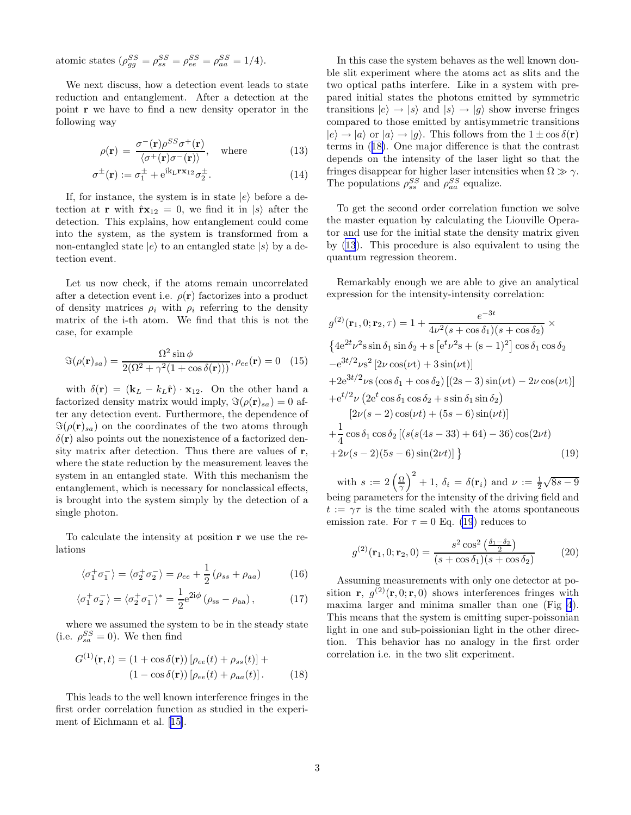<span id="page-2-0"></span>atomic states  $(\rho_{gg}^{SS} = \rho_{ss}^{SS} = \rho_{ee}^{SS} = \rho_{aa}^{SS} = 1/4).$ 

We next discuss, how a detection event leads to state reduction and entanglement. After a detection at the point r we have to find a new density operator in the following way

$$
\rho(\mathbf{r}) = \frac{\sigma^-(\mathbf{r})\rho^{SS}\sigma^+(\mathbf{r})}{\langle \sigma^+(\mathbf{r})\sigma^-(\mathbf{r})\rangle}, \quad \text{where}
$$
\n(13)

$$
\sigma^{\pm}(\mathbf{r}) := \sigma_1^{\pm} + e^{ik_L \mathbf{r} \mathbf{x}_{12}} \sigma_2^{\pm}.
$$
 (14)

If, for instance, the system is in state  $|e\rangle$  before a detection at **r** with  $\hat{\mathbf{r}}\mathbf{x}_{12} = 0$ , we find it in  $|s\rangle$  after the detection. This explains, how entanglement could come into the system, as the system is transformed from a non-entangled state  $|e\rangle$  to an entangled state  $|s\rangle$  by a detection event.

Let us now check, if the atoms remain uncorrelated after a detection event i.e.  $\rho(\mathbf{r})$  factorizes into a product of density matrices  $\rho_i$  with  $\rho_i$  referring to the density matrix of the i-th atom. We find that this is not the case, for example

$$
\Im(\rho(\mathbf{r})_{sa}) = \frac{\Omega^2 \sin \phi}{2(\Omega^2 + \gamma^2 (1 + \cos \delta(\mathbf{r})))}, \rho_{ee}(\mathbf{r}) = 0 \quad (15)
$$

with  $\delta(\mathbf{r}) = (\mathbf{k}_L - k_L \hat{\mathbf{r}}) \cdot \mathbf{x}_{12}$ . On the other hand a factorized density matrix would imply,  $\Im(\rho(\mathbf{r})_{sa}) = 0$  after any detection event. Furthermore, the dependence of  $\Im(\rho(\mathbf{r})_{sa})$  on the coordinates of the two atoms through  $\delta(\mathbf{r})$  also points out the nonexistence of a factorized density matrix after detection. Thus there are values of r, where the state reduction by the measurement leaves the system in an entangled state. With this mechanism the entanglement, which is necessary for nonclassical effects, is brought into the system simply by the detection of a single photon.

To calculate the intensity at position r we use the relations

$$
\langle \sigma_1^+ \sigma_1^- \rangle = \langle \sigma_2^+ \sigma_2^- \rangle = \rho_{ee} + \frac{1}{2} (\rho_{ss} + \rho_{aa}) \tag{16}
$$

$$
\langle \sigma_1^+ \sigma_2^- \rangle = \langle \sigma_2^+ \sigma_1^- \rangle^* = \frac{1}{2} e^{2i\phi} (\rho_{ss} - \rho_{aa}), \qquad (17)
$$

where we assumed the system to be in the steady state (i.e.  $\rho_{sa}^{SS} = 0$ ). We then find

$$
G^{(1)}(\mathbf{r},t) = (1 + \cos \delta(\mathbf{r})) \left[ \rho_{ee}(t) + \rho_{ss}(t) \right] +
$$
  

$$
(1 - \cos \delta(\mathbf{r})) \left[ \rho_{ee}(t) + \rho_{aa}(t) \right].
$$
 (18)

This leads to the well known interference fringes in the first order correlation function as studied in the experiment of Eichmann et al.[[15\]](#page-4-0).

In this case the system behaves as the well known double slit experiment where the atoms act as slits and the two optical paths interfere. Like in a system with prepared initial states the photons emitted by symmetric transitions  $|e\rangle \rightarrow |s\rangle$  and  $|s\rangle \rightarrow |g\rangle$  show inverse fringes compared to those emitted by antisymmetric transitions  $|e\rangle \rightarrow |a\rangle$  or  $|a\rangle \rightarrow |g\rangle$ . This follows from the  $1 \pm \cos \delta(\mathbf{r})$ terms in (18). One major difference is that the contrast depends on the intensity of the laser light so that the fringes disappear for higher laser intensities when  $\Omega \gg \gamma$ . The populations  $\rho_{ss}^{SS}$  and  $\rho_{aa}^{SS}$  equalize.

To get the second order correlation function we solve the master equation by calculating the Liouville Operator and use for the initial state the density matrix given by (13). This procedure is also equivalent to using the quantum regression theorem.

Remarkably enough we are able to give an analytical expression for the intensity-intensity correlation:

$$
g^{(2)}(\mathbf{r}_1, 0; \mathbf{r}_2, \tau) = 1 + \frac{e^{-3t}}{4\nu^2(s + \cos\delta_1)(s + \cos\delta_2)} \times
$$
  

$$
\{4e^{2t}\nu^2 s \sin\delta_1 \sin\delta_2 + s [e^t\nu^2 s + (s - 1)^2] \cos\delta_1 \cos\delta_2
$$

$$
-e^{3t/2}\nu s^2 [2\nu \cos(\nu t) + 3 \sin(\nu t)]
$$

$$
+2e^{3t/2}\nu s (\cos\delta_1 + \cos\delta_2) [(2s - 3) \sin(\nu t) - 2\nu \cos(\nu t)]
$$

$$
+e^{t/2}\nu (2e^t \cos\delta_1 \cos\delta_2 + s \sin\delta_1 \sin\delta_2)
$$

$$
[2\nu(s - 2) \cos(\nu t) + (5s - 6) \sin(\nu t)]
$$

$$
+ \frac{1}{4} \cos\delta_1 \cos\delta_2 [(s(s(4s - 33) + 64) - 36) \cos(2\nu t)
$$

$$
+2\nu(s - 2)(5s - 6) \sin(2\nu t)] \}
$$
(19)

with  $s := 2\left(\frac{\Omega}{\gamma}\right)^2 + 1$ ,  $\delta_i = \delta(\mathbf{r}_i)$  and  $\nu := \frac{1}{2}\sqrt{8s-9}$ being parameters for the intensity of the driving field and  $t := \gamma \tau$  is the time scaled with the atoms spontaneous emission rate. For  $\tau = 0$  Eq. (19) reduces to

$$
g^{(2)}(\mathbf{r}_1, 0; \mathbf{r}_2, 0) = \frac{s^2 \cos^2\left(\frac{\delta_1 - \delta_2}{2}\right)}{(s + \cos \delta_1)(s + \cos \delta_2)}\tag{20}
$$

Assuming measurements with only one detector at position **r**,  $g^{(2)}(\mathbf{r},0;\mathbf{r},0)$  shows interferences fringes with maxima larger and minima smaller than one (Fig [4](#page-3-0)). This means that the system is emitting super-poissonian light in one and sub-poissionian light in the other direction. This behavior has no analogy in the first order correlation i.e. in the two slit experiment.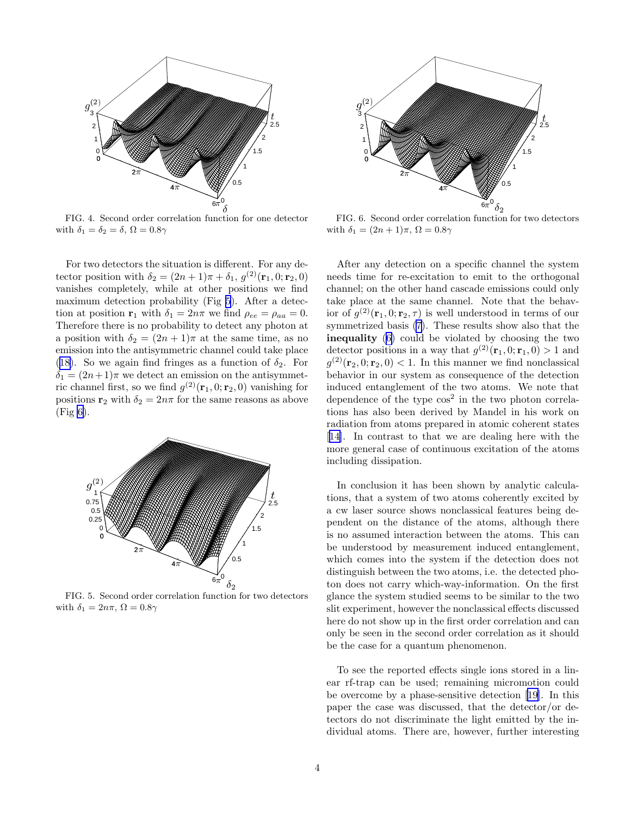<span id="page-3-0"></span>

 FIG. 4. Second order correlation function for one detector with  $\delta_1 = \delta_2 = \delta$ ,  $\Omega = 0.8\gamma$ 

For two detectors the situation is different. For any detector position with  $\delta_2 = (2n+1)\pi + \delta_1, g^{(2)}(\mathbf{r}_1, 0; \mathbf{r}_2, 0)$ vanishes completely, while at other positions we find maximum detection probability (Fig 5). After a detection at position  $\mathbf{r}_1$  with  $\delta_1 = 2n\pi$  we find  $\rho_{ee} = \rho_{aa} = 0$ . Therefore there is no probability to detect any photon at a position with  $\delta_2 = (2n+1)\pi$  at the same time, as no emission into the antisymmetric channel could take place ([18\)](#page-2-0). So we again find fringes as a function of  $\delta_2$ . For  $\delta_1 = (2n+1)\pi$  we detect an emission on the antisymmetric channel first, so we find  $g^{(2)}(\mathbf{r}_1, 0; \mathbf{r}_2, 0)$  vanishing for positions  $\mathbf{r}_2$  with  $\delta_2 = 2n\pi$  for the same reasons as above (Fig 6).



FIG. 5. Second order correlation function for two detectors with  $\delta_1 = 2n\pi$ ,  $\Omega = 0.8\gamma$ 



FIG. 6. Second order correlation function for two detectors with  $\delta_1 = (2n+1)\pi$ ,  $\Omega = 0.8\gamma$ 

After any detection on a specific channel the system needs time for re-excitation to emit to the orthogonal channel; on the other hand cascade emissions could only take place at the same channel. Note that the behavior of  $g^{(2)}(\mathbf{r}_1, 0; \mathbf{r}_2, \tau)$  is well understood in terms of our symmetrized basis [\(7](#page-1-0)). These results show also that the inequality ([6\)](#page-1-0) could be violated by choosing the two detector positions in a way that  $g^{(2)}(\mathbf{r}_1, 0; \mathbf{r}_1, 0) > 1$  and  $g^{(2)}(\mathbf{r}_2, 0; \mathbf{r}_2, 0) < 1$ . In this manner we find nonclassical behavior in our system as consequence of the detection induced entanglement of the two atoms. We note that dependence of the type  $\cos^2$  in the two photon correlations has also been derived by Mandel in his work on radiation from atoms prepared in atomic coherent states [[14\]](#page-4-0). In contrast to that we are dealing here with the more general case of continuous excitation of the atoms including dissipation.

In conclusion it has been shown by analytic calculations, that a system of two atoms coherently excited by a cw laser source shows nonclassical features being dependent on the distance of the atoms, although there is no assumed interaction between the atoms. This can be understood by measurement induced entanglement, which comes into the system if the detection does not distinguish between the two atoms, i.e. the detected photon does not carry which-way-information. On the first glance the system studied seems to be similar to the two slit experiment, however the nonclassical effects discussed here do not show up in the first order correlation and can only be seen in the second order correlation as it should be the case for a quantum phenomenon.

To see the reported effects single ions stored in a linear rf-trap can be used; remaining micromotion could be overcome by a phase-sensitive detection [\[19](#page-4-0)]. In this paper the case was discussed, that the detector/or detectors do not discriminate the light emitted by the individual atoms. There are, however, further interesting